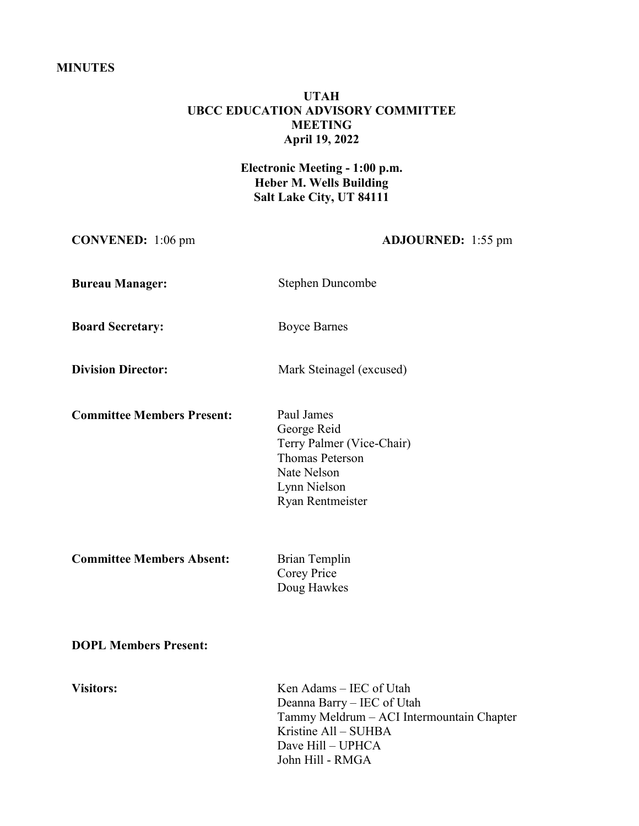## **MINUTES**

# **UTAH UBCC EDUCATION ADVISORY COMMITTEE MEETING April 19, 2022**

# **Electronic Meeting - 1:00 p.m. Heber M. Wells Building Salt Lake City, UT 84111**

**CONVENED:** 1:06 pm **ADJOURNED:** 1:55 pm

**Bureau Manager:** Stephen Duncombe

**Board Secretary:** Boyce Barnes

**Division Director:** Mark Steinagel (excused)

**Committee Members Present:** Paul James

George Reid Terry Palmer (Vice-Chair) Thomas Peterson Nate Nelson Lynn Nielson Ryan Rentmeister

**Committee Members Absent:** Brian Templin

Corey Price Doug Hawkes

**DOPL Members Present:**

**Visitors:** Ken Adams – IEC of Utah Deanna Barry – IEC of Utah Tammy Meldrum – ACI Intermountain Chapter Kristine All – SUHBA Dave Hill – UPHCA John Hill - RMGA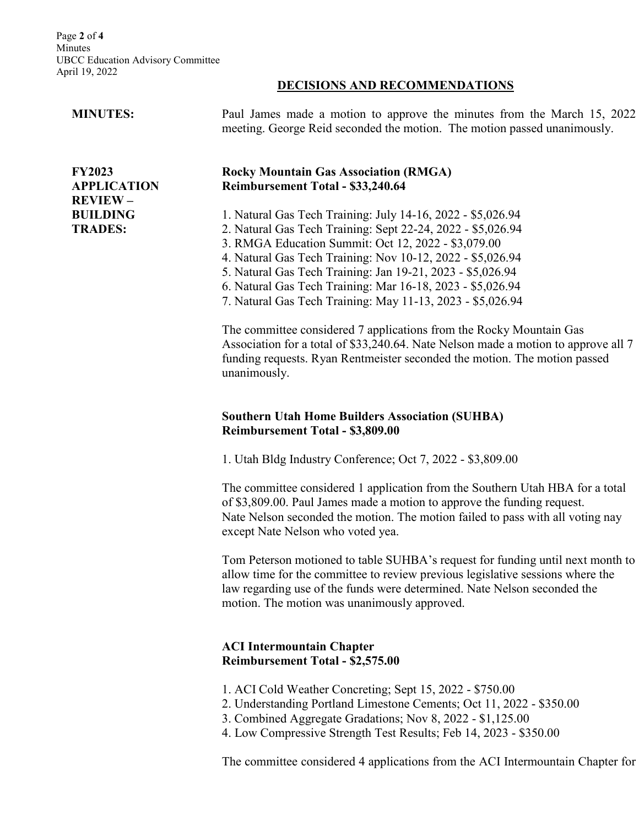Page **2** of **4** Minutes UBCC Education Advisory Committee April 19, 2022

### **DECISIONS AND RECOMMENDATIONS**

#### **MINUTES:**

**FY2023** 

**APPLICATION REVIEW – BUILDING TRADES:**

Paul James made a motion to approve the minutes from the March 15, 2022 meeting. George Reid seconded the motion. The motion passed unanimously.

## **Rocky Mountain Gas Association (RMGA) Reimbursement Total - \$33,240.64**

1. Natural Gas Tech Training: July 14-16, 2022 - \$5,026.94

2. Natural Gas Tech Training: Sept 22-24, 2022 - \$5,026.94

3. RMGA Education Summit: Oct 12, 2022 - \$3,079.00

4. Natural Gas Tech Training: Nov 10-12, 2022 - \$5,026.94

5. Natural Gas Tech Training: Jan 19-21, 2023 - \$5,026.94

6. Natural Gas Tech Training: Mar 16-18, 2023 - \$5,026.94

7. Natural Gas Tech Training: May 11-13, 2023 - \$5,026.94

The committee considered 7 applications from the Rocky Mountain Gas Association for a total of \$33,240.64. Nate Nelson made a motion to approve all 7 funding requests. Ryan Rentmeister seconded the motion. The motion passed unanimously.

## **Southern Utah Home Builders Association (SUHBA) Reimbursement Total - \$3,809.00**

1. Utah Bldg Industry Conference; Oct 7, 2022 - \$3,809.00

The committee considered 1 application from the Southern Utah HBA for a total of \$3,809.00. Paul James made a motion to approve the funding request. Nate Nelson seconded the motion. The motion failed to pass with all voting nay except Nate Nelson who voted yea.

Tom Peterson motioned to table SUHBA's request for funding until next month to allow time for the committee to review previous legislative sessions where the law regarding use of the funds were determined. Nate Nelson seconded the motion. The motion was unanimously approved.

## **ACI Intermountain Chapter Reimbursement Total - \$2,575.00**

- 1. ACI Cold Weather Concreting; Sept 15, 2022 \$750.00
- 2. Understanding Portland Limestone Cements; Oct 11, 2022 \$350.00
- 3. Combined Aggregate Gradations; Nov 8, 2022 \$1,125.00
- 4. Low Compressive Strength Test Results; Feb 14, 2023 \$350.00

The committee considered 4 applications from the ACI Intermountain Chapter for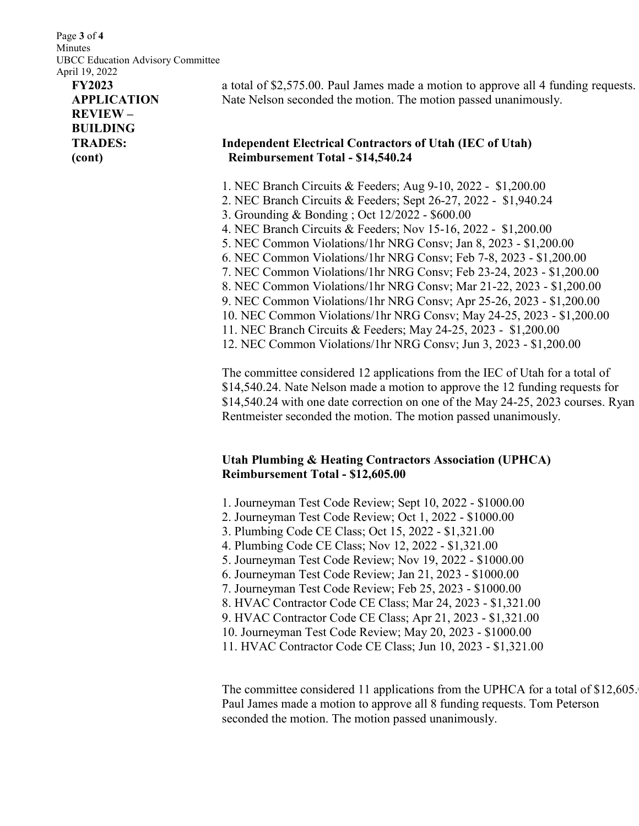Page **3** of **4** Minutes UBCC Education Advisory Committee April 19, 2022

# **FY2023 APPLICATION REVIEW – BUILDING TRADES: (cont)**

a total of \$2,575.00. Paul James made a motion to approve all 4 funding requests. Nate Nelson seconded the motion. The motion passed unanimously.

## **Independent Electrical Contractors of Utah (IEC of Utah) Reimbursement Total - \$14,540.24**

- 1. NEC Branch Circuits & Feeders; Aug 9-10, 2022 \$1,200.00
- 2. NEC Branch Circuits & Feeders; Sept 26-27, 2022 \$1,940.24
- 3. Grounding & Bonding ; Oct 12/2022 \$600.00
- 4. NEC Branch Circuits & Feeders; Nov 15-16, 2022 \$1,200.00
- 5. NEC Common Violations/1hr NRG Consv; Jan 8, 2023 \$1,200.00
- 6. NEC Common Violations/1hr NRG Consv; Feb 7-8, 2023 \$1,200.00
- 7. NEC Common Violations/1hr NRG Consv; Feb 23-24, 2023 \$1,200.00
- 8. NEC Common Violations/1hr NRG Consv; Mar 21-22, 2023 \$1,200.00
- 9. NEC Common Violations/1hr NRG Consv; Apr 25-26, 2023 \$1,200.00
- 10. NEC Common Violations/1hr NRG Consv; May 24-25, 2023 \$1,200.00
- 11. NEC Branch Circuits & Feeders; May 24-25, 2023 \$1,200.00
- 12. NEC Common Violations/1hr NRG Consv; Jun 3, 2023 \$1,200.00

The committee considered 12 applications from the IEC of Utah for a total of \$14,540.24. Nate Nelson made a motion to approve the 12 funding requests for \$14,540.24 with one date correction on one of the May 24-25, 2023 courses. Ryan Rentmeister seconded the motion. The motion passed unanimously.

# **Utah Plumbing & Heating Contractors Association (UPHCA) Reimbursement Total - \$12,605.00**

- 1. Journeyman Test Code Review; Sept 10, 2022 \$1000.00
- 2. Journeyman Test Code Review; Oct 1, 2022 \$1000.00
- 3. Plumbing Code CE Class; Oct 15, 2022 \$1,321.00
- 4. Plumbing Code CE Class; Nov 12, 2022 \$1,321.00
- 5. Journeyman Test Code Review; Nov 19, 2022 \$1000.00
- 6. Journeyman Test Code Review; Jan 21, 2023 \$1000.00
- 7. Journeyman Test Code Review; Feb 25, 2023 \$1000.00
- 8. HVAC Contractor Code CE Class; Mar 24, 2023 \$1,321.00
- 9. HVAC Contractor Code CE Class; Apr 21, 2023 \$1,321.00
- 10. Journeyman Test Code Review; May 20, 2023 \$1000.00
- 11. HVAC Contractor Code CE Class; Jun 10, 2023 \$1,321.00

The committee considered 11 applications from the UPHCA for a total of \$12,605. Paul James made a motion to approve all 8 funding requests. Tom Peterson seconded the motion. The motion passed unanimously.